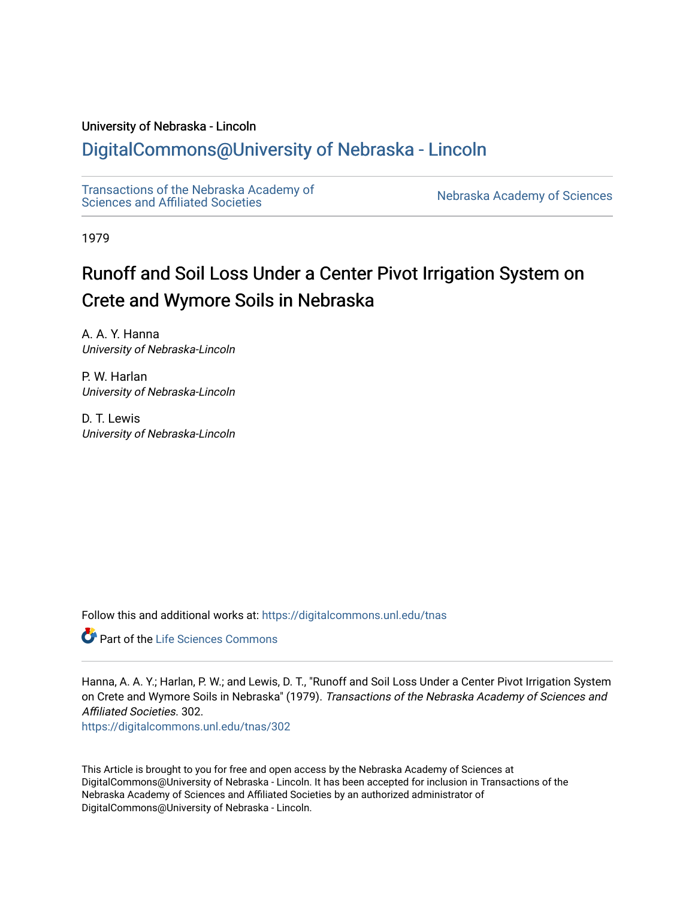### University of Nebraska - Lincoln

# [DigitalCommons@University of Nebraska - Lincoln](https://digitalcommons.unl.edu/)

[Transactions of the Nebraska Academy of](https://digitalcommons.unl.edu/tnas)  Transactions of the Nebraska Academy of Sciences<br>Sciences and Affiliated Societies

1979

# Runoff and Soil Loss Under a Center Pivot Irrigation System on Crete and Wymore Soils in Nebraska

A. A. Y. Hanna University of Nebraska-Lincoln

P. W. Harlan University of Nebraska-Lincoln

D. T. Lewis University of Nebraska-Lincoln

Follow this and additional works at: [https://digitalcommons.unl.edu/tnas](https://digitalcommons.unl.edu/tnas?utm_source=digitalcommons.unl.edu%2Ftnas%2F302&utm_medium=PDF&utm_campaign=PDFCoverPages) 

Part of the [Life Sciences Commons](http://network.bepress.com/hgg/discipline/1016?utm_source=digitalcommons.unl.edu%2Ftnas%2F302&utm_medium=PDF&utm_campaign=PDFCoverPages) 

Hanna, A. A. Y.; Harlan, P. W.; and Lewis, D. T., "Runoff and Soil Loss Under a Center Pivot Irrigation System on Crete and Wymore Soils in Nebraska" (1979). Transactions of the Nebraska Academy of Sciences and Affiliated Societies. 302.

[https://digitalcommons.unl.edu/tnas/302](https://digitalcommons.unl.edu/tnas/302?utm_source=digitalcommons.unl.edu%2Ftnas%2F302&utm_medium=PDF&utm_campaign=PDFCoverPages) 

This Article is brought to you for free and open access by the Nebraska Academy of Sciences at DigitalCommons@University of Nebraska - Lincoln. It has been accepted for inclusion in Transactions of the Nebraska Academy of Sciences and Affiliated Societies by an authorized administrator of DigitalCommons@University of Nebraska - Lincoln.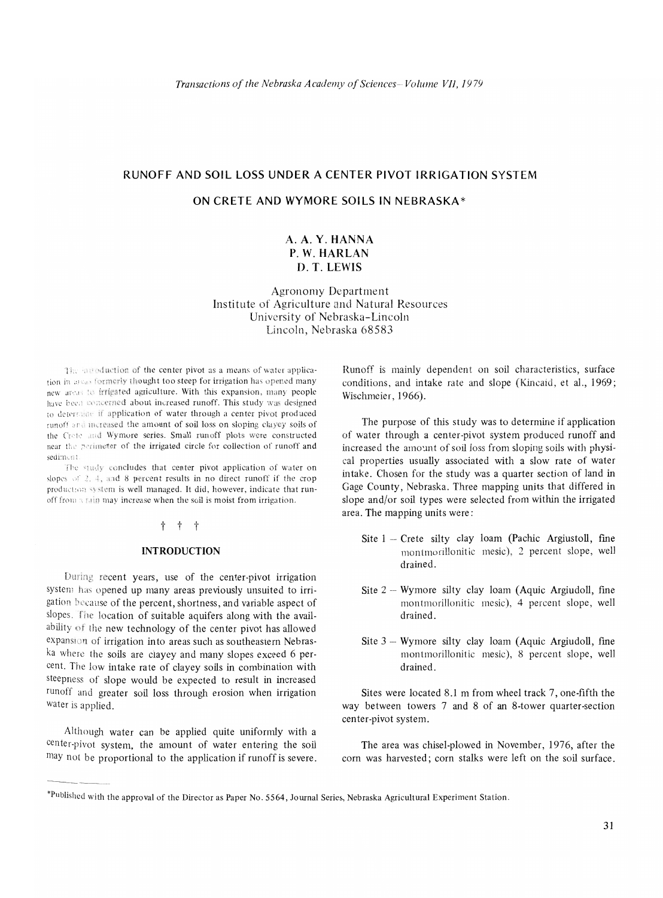#### RUNOFF AND SOIL LOSS UNDER A CENTER PIVOT IRRIGATION SYSTEM

#### ON CRETE AND WYMORE SOILS IN NEBRASKA\*

## A.A.Y.HANNA P. W. HARLAN D. T. LEWIS

Agronomy Department Institute of Agriculture and Natural Resources University of Nebraska-Lincoln Lincoln, Nebraska 68583

Tk 'iwoduction of the center pivot as a means of water application in areas formerly thought too steep for irrigation has opened many new areas to irrigated agriculture. With this expansion, many people have been concerned about increased runoff. This study was designed to determine if application of water through a center pivot produced runoff and increased the amount of soil loss on sloping clayey soils of the Crete and Wymore series. Small runoff plots were constructed near the perimeter of the irrigated circle for collection of runoff and sediment

The study concludes that center pivot application of water on slopes of 2, 4, and 8 percent results in no direct runoff if the crop production system is well managed. It did, however, indicate that runoff from a sain may increase when the soil is moist from irrigation.

#### t t t

#### INTRODUCTION

During recent years, use of the center-pivot irrigation system has opened up many areas previously unsuited to irrigation because of the percent, shortness, and variable aspect of slopes. The location of suitable aquifers along with the availability of the new technology of the center pivot has allowed expansion of irrigation into areas such as southeastern Nebraska where the soils are clayey and many slopes exceed 6 percent. The low intake rate of clayey soils in combination with steepness of slope would be expected to result in increased runoff and greater soil loss through erosion when irrigation water is applied.

Although water can be applied quite uniformly with a center-pivot system, the amount of water entering the soil may not be proportional to the application if runoff is severe. Runoff is mainly dependent on soil characteristics, surface conditions, and intake rate and slope (Kincaid, et al., 1969; Wischmeier, 1966).

The purpose of this study was to determine if application of water through a center-pivot system produced runoff and increased the amount of soil loss from sloping soils with physical properties usually associated with a slow rate of water intake. Chosen for the study was a quarter section of land in Gage County, Nebraska. Three mapping units that differed in slope and/or soil types were selected from within the irrigated area. The mapping units were;

- Site  $1 -$  Crete silty clay loam (Pachic Argiustoll, fine montmorillonitic mesic), 2 percent slope, well drained.
- Site  $2 Wy$  more silty clay loam (Aquic Argiudoll, fine montmorillonitic mesic), 4 percent slope, well drained.
- Site  $3$  Wymore silty clay loam (Aquic Argiudoll, fine montmorillonitic mesic), 8 percent slope, well drained.

Sites were located 8.1 m from wheel track 7, one-fifth the way between towers 7 and 8 of an 8-tower quarter-section center-pivot system.

The area was chisel-plowed in November, 1976, after the corn was harvested; corn stalks were left on the soil surface.

<sup>----</sup> 'Published with the approval of the Director as Paper No. 5564, Journal Series, Nebraska Agricultural Experiment Station.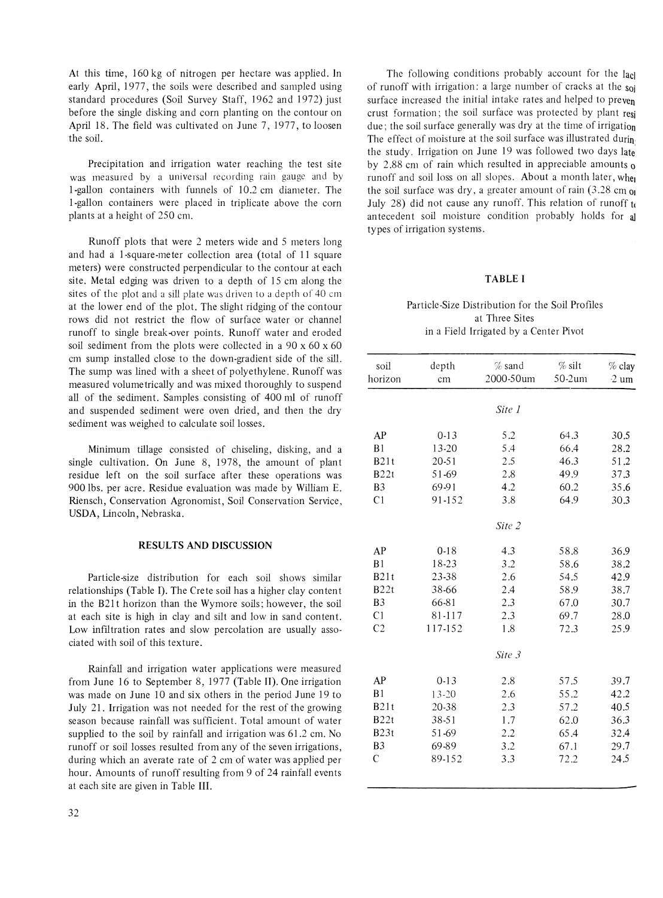At this time, 160 kg of nitrogen per hectare was applied. In early April, 1977, the soils were described and sampled using standard procedures (Soil Survey Staff, 1962 and 1972) just before the single disking and corn planting on the contour on April 18. The field was cultivated on June 7, 1977, to loosen the soil.

Precipitation and irrigation water reaching the test site was measured by a universal recording rain gauge and by I-gallon containers with funnels of 10.2 cm diameter. The I-gallon containers were placed in triplicate above the corn plants at a height of 250 cm.

Runoff plots that were 2 meters wide and 5 meters long and had a I-square-meter collection area (total of 11 square meters) were constructed perpendicular to the contour at each site. Metal edging was driven to a depth of 15 cm along the sites of the plot and a sill plate was driven to a depth of 40 cm at the lower end of the plot. The slight ridging of the contour rows did not restrict the flow of surface water or channel runoff to single break-over points. Runoff water and eroded soil sediment from the plots were collected in a 90  $x$  60  $x$  60 cm sump installed close to the down-gradient side of the sill. The sump was lined with a sheet of polyethylene. Runoff was measured volumetrically and was mixed thoroughly to suspend all of the sediment. Samples consisting of 400 ml of runoff and suspended sediment were oven dried, and then the dry sediment was weighed to calculate soil losses.

Minimum tillage consisted of chiseling, disking, and a single cultivation. On June 8, 1978, the amount of plant residue left on the soil surface after these operations was 900 lbs. per acre. Residue evaluation was made by William E. Riensch, Conservation Agronomist, Soil Conservation Service, USDA, Lincoln, Nebraska.

#### RESULTS AND DISCUSSION

Particle-size distribution for each soil shows similar relationships (Table I). The Crete soil has a higher clay content in the B21t horizon than the Wymore soils; however, the soil at each site is high in clay and silt and low in sand content. Low infiltration rates and slow percolation are usually associated with soil of this texture.

Rainfall and irrigation water applications were measured from June 16 to September 8, 1977 (Table II). One irrigation was made on June 10 and six others in the period June 19 to July 21. Irrigation was not needed for the rest of the growing season because rainfall was sufficient. Total amount of water supplied to the soil by rainfall and irrigation was 61.2 cm. No runoff or soil losses resulted from any of the seven irrigations, during which an averate rate of 2 cm of water was applied per hour. Amounts of runoff resulting from 9 of 24 rainfall events at each site are given in Table **III.** 

The following conditions probably account for the lacl of runoff with irrigation: a large number of cracks at the soi surface increased the initial intake rates and helped to preven crust formation; the soil surface was protected by plant resi due; the soil surface generally was dry at the time of irrigation The effect of moisture at the soil surface was illustrated during the study. Irrigation on June 19 was followed two days late' by 2.88 cm of rain which resulted in appreciable amounts  $\alpha$ runoff and soil loss on all slopes. About a month later, when the soil surface was dry, a greater amount of rain  $(3.28 \text{ cm})$ July 28) did not cause any runoff. This relation of runoff  $t_1$ antecedent soil moisture condition probably holds for a] types of irrigation systems.

#### TABLE I

#### Particle-Size Distribution for the Soil Profiles at Three Sites in a Field Irrigated by a Center Pivot

| soil<br>horizon | depth<br>cm | $%$ sand<br>2000-50um | $%$ silt<br>50-2um | $%$ clay<br>$2 \text{ um}$ |  |  |
|-----------------|-------------|-----------------------|--------------------|----------------------------|--|--|
|                 |             | Site 1                |                    |                            |  |  |
| AP              | $0-13$      | 5.2                   | 64.3               | 30.5                       |  |  |
| B1              | 13-20       | 5.4                   | 66.4               | 28.2                       |  |  |
| B21t            | 20-51       | 2.5                   | 46.3               |                            |  |  |
| B22t            | 51-69       | 2.8                   | 49.9               | 37.3                       |  |  |
| B <sub>3</sub>  | 69-91       | 4.2                   | 60.2               | 35.6                       |  |  |
| C <sub>1</sub>  | 91-152      | 3.8                   | 64.9               | 30.3                       |  |  |
|                 |             | Site 2                |                    |                            |  |  |
| AP              | $0 - 18$    | 4.3                   | 58.8               | 36.9                       |  |  |
| B1              | 18-23       | 3.2                   | 58.6               | 38.2                       |  |  |
| B21t            | 23-38       | 2.6                   | 54.5               | 42.9                       |  |  |
| B22t            | 38-66       | 2.4                   | 58.9               | 38.7                       |  |  |
| B <sub>3</sub>  | 66-81       | 2.3                   | 67.0               | 30.7                       |  |  |
| C <sub>1</sub>  | 81-117      | 2.3                   | 69.7               | 28.0                       |  |  |
| C <sub>2</sub>  | 117-152     | 1.8                   | 72.3               | 25.9                       |  |  |
|                 |             | Site 3                |                    |                            |  |  |
| AP              | $0-13$      | 2.8                   | 57.5               | 39.7                       |  |  |
| B1              | 13-20       | 2.6                   | 55.2               | 42.2                       |  |  |
| B21t            | 20-38       | 2.3                   | 57.2               | 40.5                       |  |  |
| B22t            | 38-51       | 1.7                   | 62.0               | 36.3                       |  |  |
| B23t            | 51-69       | 2.2                   | 65.4               | 32.4                       |  |  |
| B <sub>3</sub>  | 69-89       | 3.2                   | 67.1               | 29.7                       |  |  |
| $\overline{C}$  | 89-152      | 3.3                   | 72.2               | 24.5                       |  |  |
|                 |             |                       |                    |                            |  |  |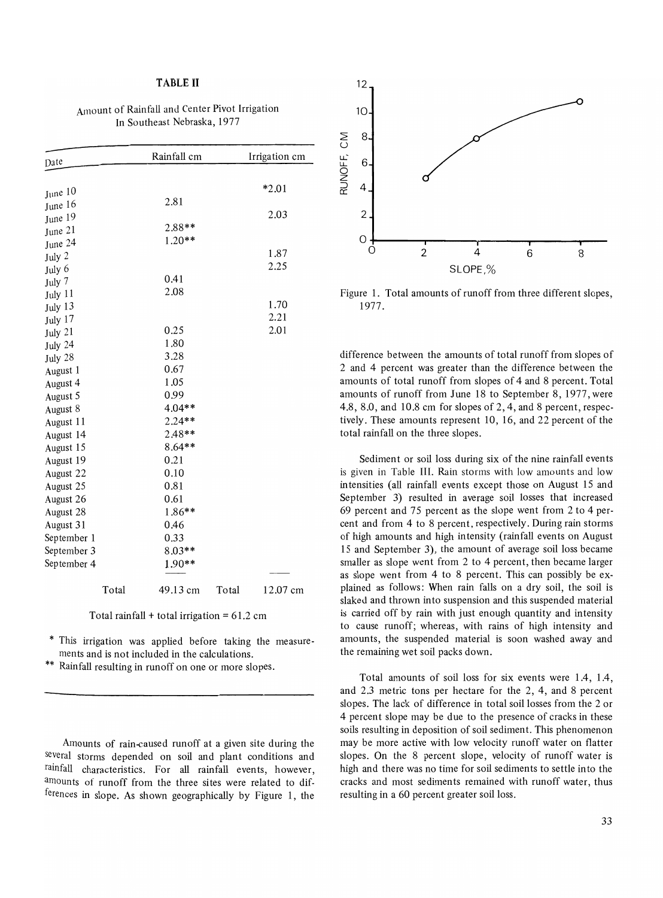#### TABLE II

|  | Amount of Rainfall and Center Pivot Irrigation |
|--|------------------------------------------------|
|  | In Southeast Nebraska, 1977                    |

| Date        | Rainfall cm |       | Irrigation cm |
|-------------|-------------|-------|---------------|
|             |             |       |               |
|             |             |       | $*2.01$       |
| June 10     | 2.81        |       |               |
| June 16     |             |       | 2.03          |
| June 19     | 2.88**      |       |               |
| June 21     | $1.20**$    |       |               |
| June 24     |             |       | 1.87          |
| July 2      |             |       | 2.25          |
| July 6      | 0.41        |       |               |
| July 7      | 2.08        |       |               |
| July 11     |             |       | 1.70          |
| July 13     |             |       | 2.21          |
| July 17     | 0.25        |       | 2.01          |
| July 21     | 1.80        |       |               |
| July 24     | 3.28        |       |               |
| July 28     | 0.67        |       |               |
| August 1    | 1.05        |       |               |
| August 4    | 0.99        |       |               |
| August 5    | 4.04**      |       |               |
| August 8    |             |       |               |
| August 11   | $2.24**$    |       |               |
| August 14   | 2.48**      |       |               |
| August 15   | 8.64**      |       |               |
| August 19   | 0.21        |       |               |
| August 22   | 0.10        |       |               |
| August 25   | 0.81        |       |               |
| August 26   | 0.61        |       |               |
| August 28   | 1.86**      |       |               |
| August 31   | 0.46        |       |               |
| September 1 | 0.33        |       |               |
| September 3 | 8.03**      |       |               |
| September 4 | 1.90**      |       |               |
| Total       | 49.13 cm    | Total | 12.07 cm      |

Total rainfall + total irrigation =  $61.2$  cm

\* This irrigation was applied before taking the measurements and is not included in the calculations.

\*\* Rainfall resulting in runoff on one or more slopes.

Amounts of rain-caused runoff at a given site during the several storms depended on soil and plant conditions and rainfall characteristics. For all rainfall events, however, amounts of runoff from the three sites were related to differences in slope. As shown geographically by Figure 1, the



Figure 1. Total amounts of runoff from three different slopes, 1977.

difference between the amounts of total runoff from slopes of 2 and 4 percent was greater than the difference between the amounts of total runoff from slopes of 4 and 8 percent. Total amounts of runoff from June 18 to September 8,1977, were 4.8, 8.0, and 10.8 cm for slopes of 2, 4, and 8 percent, respectively. These amounts represent 10, 16, and 22 percent of the total rainfall on the three slopes.

Sediment or soil loss during six of the nine rainfall events is given in Table III. Rain storms with low amounts and low intensities (all rainfall events except those on August 15 and September 3) resulted in average soil losses that increased 69 percent and 75 percent as the slope went from 2 to 4 percent and from 4 to 8 percent, respectively. During rain storms of high amounts and high intensity (rainfall events on August 15 and September 3), the amount of average soil loss became smaller as slope went from 2 to 4 percent, then became larger as slope went from 4 to 8 percent. This can possibly be explained as follows: When rain falls on a dry soil, the soil is slaked and thrown into suspension and this suspended material is carried off by rain with just enough quantity and intensity to cause runoff; whereas, with rains of high intensity and amounts, the suspended material is soon washed away and the remaining wet soil packs down.

Total amounts of soil loss for six events were 1.4, 1.4, and 2.3 metric tons per hectare for the 2, 4, and 8 percent slopes. The lack of difference in total soil losses from the 2 or 4 percent slope may be due to the presence of cracks in these soils resulting in deposition of soil sediment. This phenomenon may be more active with low velocity runoff water on flatter slopes. On the 8 percent slope, velocity of runoff water is high and there was no time for soil sediments to settle into the cracks and most sediments remained with runoff water, thus resulting in a 60 percent greater soil loss.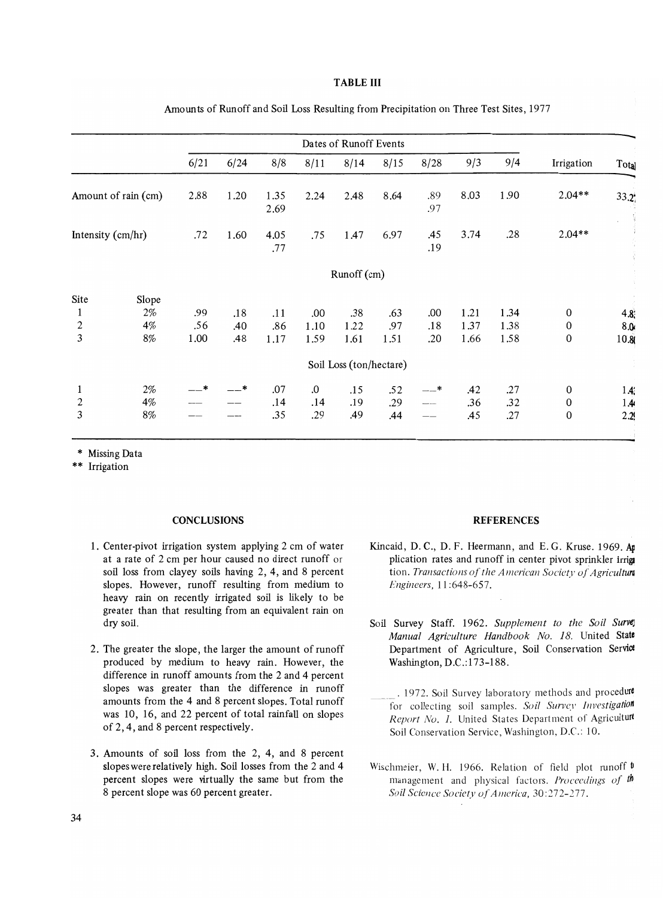#### TABLE III

|                   |                     |      |      |              |      | Dates of Runoff Events  |      |            |      |      |                  |                                                              |
|-------------------|---------------------|------|------|--------------|------|-------------------------|------|------------|------|------|------------------|--------------------------------------------------------------|
|                   |                     | 6/21 | 6/24 | 8/8          | 8/11 | 8/14                    | 8/15 | 8/28       | 9/3  | 9/4  | Irrigation       | Total                                                        |
|                   | Amount of rain (cm) | 2.88 | 1.20 | 1.35<br>2.69 | 2.24 | 2.48                    | 8.64 | .89<br>.97 | 8.03 | 1.90 | $2.04**$         | $33.2^{\circ}$                                               |
| Intensity (cm/hr) |                     | .72  | 1.60 | 4.05<br>.77  | .75  | 1.47                    | 6.97 | .45<br>.19 | 3.74 | .28  | $2.04**$         |                                                              |
|                   |                     |      |      |              |      | Runoff (cm)             |      |            |      |      |                  | $\frac{1}{2}$ , $\frac{1}{2}$<br>$\mathcal{L}_{\mathcal{L}}$ |
| Site              | Slope               |      |      |              |      |                         |      |            |      |      |                  |                                                              |
| 1                 | 2%                  | .99  | .18  | .11          | .00  | .38                     | .63  | .00        | 1.21 | 1.34 | 0                | 4.8;                                                         |
| $\boldsymbol{2}$  | 4%                  | .56  | .40  | .86          | 1.10 | 1.22                    | .97  | .18        | 1.37 | 1.38 | 0                | 8.0                                                          |
| 3                 | 8%                  | 1.00 | .48  | 1.17         | 1.59 | 1.61                    | 1.51 | .20        | 1.66 | 1.58 | 0                | 10.8                                                         |
|                   |                     |      |      |              |      | Soil Loss (ton/hectare) |      |            |      |      |                  |                                                              |
| 1                 | 2%                  | —*   | ——*  | .07          | 0.   | .15                     | .52  | ——*        | .42  | .27  | 0                | 1.4                                                          |
| $\boldsymbol{2}$  | 4%                  |      |      | .14          | .14  | .19                     | .29  | $- - -$    | .36  | .32  | 0                | 1.44                                                         |
| 3                 | $8\%$               |      |      | .35          | .29  | .49                     | .44  |            | .45  | .27  | $\boldsymbol{0}$ | 2.29                                                         |

Arnoun ts of Runoff and Soil Loss Resulting from Precipitation on Three Test Sites, 1977

\* Missing Data

\*\* Irrigation

#### **CONCLUSIONS**

- 1. Center-pivot irrigation system applying 2 cm of water at a rate of 2 cm per hour caused no direct runoff or soil loss from clayey soils having 2, 4, and 8 percent slopes. However, runoff resulting from medium to heavy rain on recently irrigated soil is likely to be greater than that resulting from an equivalent rain on dry soil.
- 2. The greater the slope, the larger the amount of runoff produced by medium to heavy rain. However, the difference in runoff amounts from the 2 and 4 percent slopes was greater than the difference in runoff amounts frem the 4 and 8 percent slopes. Total runoff was 10, 16, and 22 percent of total rainfall on slopes of 2, 4, and 8 percent respectively.
- 3. Amounts of soil loss from the 2, 4, and 8 percent slopes were relatively high. Soil losses from the 2 and 4 percent slopes were virtually the same but from the 8 percent slope was 60 percent greater.

#### **REFERENCES**

- Kincaid, D. C., D. F. Heermann, and E. G. Kruse. 1969. Ap plication rates and runoff in center pivot sprinkler irrigi tion. *Transactions of the American Society of Agriculture Engineers,* 11 :648-657.
- Soil Survey Staff. 1962. *Supplement to the Soil Surve) Manual Agriculture Handbook No.* 18. United State Department of Agriculture, Soil Conservation Service Washington, D.C.:173-188.
	- . 1972. Soil Survey laboratory methods and procedure for collecting soil samples. *Soil Survey Investigation Report No. I.* United States Department of Agriculturl Soil Conservation Service, Washington, D.C.: 10.
- Wischmeier, W. H. 1966. Relation of field plot runoff  $\psi$ management and physical factors. *Procecdings of th Soil Science Society alA lIlerica,* 30 :272-277.